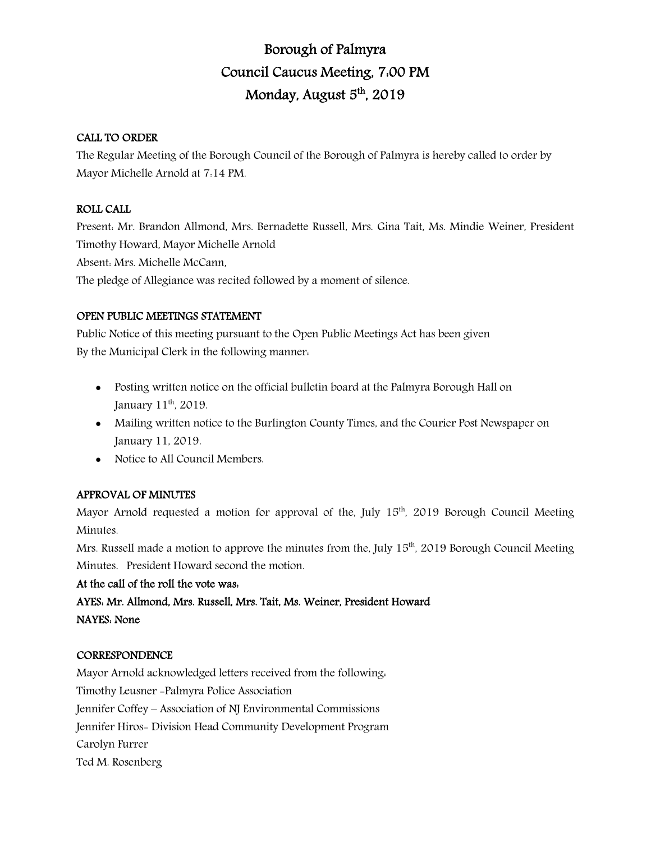# Borough of Palmyra Council Caucus Meeting, 7:00 PM Monday, August 5<sup>th</sup>, 2019

## CALL TO ORDER

The Regular Meeting of the Borough Council of the Borough of Palmyra is hereby called to order by Mayor Michelle Arnold at 7:14 PM.

## ROLL CALL

Present: Mr. Brandon Allmond, Mrs. Bernadette Russell, Mrs. Gina Tait, Ms. Mindie Weiner, President Timothy Howard, Mayor Michelle Arnold

Absent: Mrs. Michelle McCann,

The pledge of Allegiance was recited followed by a moment of silence.

## OPEN PUBLIC MEETINGS STATEMENT

Public Notice of this meeting pursuant to the Open Public Meetings Act has been given By the Municipal Clerk in the following manner:

- Posting written notice on the official bulletin board at the Palmyra Borough Hall on January  $11<sup>th</sup>$ , 2019.
- Mailing written notice to the Burlington County Times, and the Courier Post Newspaper on January 11, 2019.
- Notice to All Council Members.

## APPROVAL OF MINUTES

Mayor Arnold requested a motion for approval of the, July 15<sup>th</sup>, 2019 Borough Council Meeting Minutes.

Mrs. Russell made a motion to approve the minutes from the, July  $15<sup>th</sup>$ , 2019 Borough Council Meeting Minutes. President Howard second the motion.

At the call of the roll the vote was:

AYES: Mr. Allmond, Mrs. Russell, Mrs. Tait, Ms. Weiner, President Howard NAYES: None

## **CORRESPONDENCE**

Mayor Arnold acknowledged letters received from the following: Timothy Leusner -Palmyra Police Association Jennifer Coffey – Association of NJ Environmental Commissions Jennifer Hiros- Division Head Community Development Program Carolyn Furrer Ted M. Rosenberg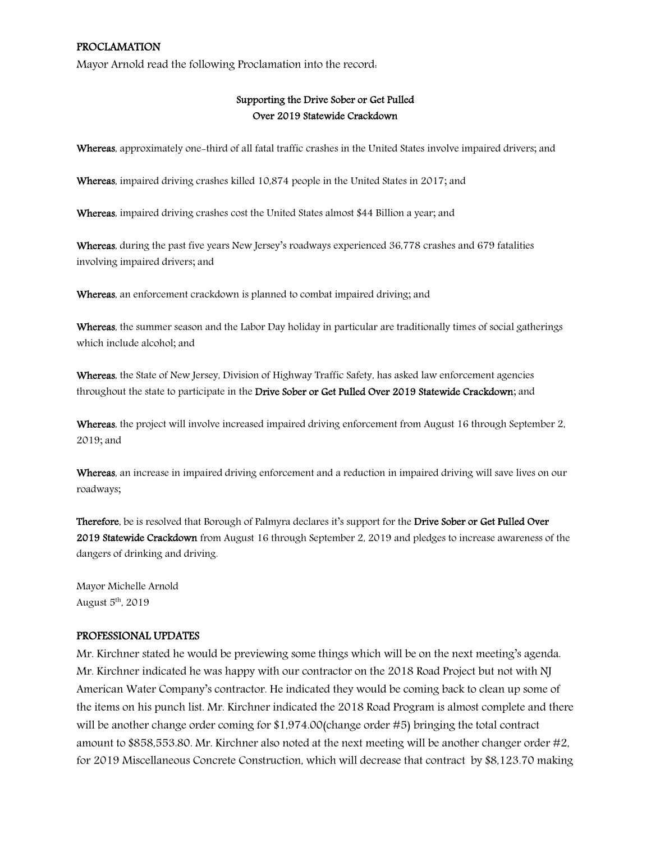#### PROCLAMATION

Mayor Arnold read the following Proclamation into the record:

## Supporting the Drive Sober or Get Pulled Over 2019 Statewide Crackdown

Whereas, approximately one-third of all fatal traffic crashes in the United States involve impaired drivers; and

Whereas, impaired driving crashes killed 10,874 people in the United States in 2017; and

Whereas, impaired driving crashes cost the United States almost \$44 Billion a year; and

Whereas, during the past five years New Jersey's roadways experienced 36,778 crashes and 679 fatalities involving impaired drivers; and

Whereas, an enforcement crackdown is planned to combat impaired driving; and

Whereas, the summer season and the Labor Day holiday in particular are traditionally times of social gatherings which include alcohol; and

Whereas, the State of New Jersey, Division of Highway Traffic Safety, has asked law enforcement agencies throughout the state to participate in the Drive Sober or Get Pulled Over 2019 Statewide Crackdown; and

Whereas, the project will involve increased impaired driving enforcement from August 16 through September 2, 2019; and

Whereas, an increase in impaired driving enforcement and a reduction in impaired driving will save lives on our roadways;

Therefore, be is resolved that Borough of Palmyra declares it's support for the Drive Sober or Get Pulled Over 2019 Statewide Crackdown from August 16 through September 2, 2019 and pledges to increase awareness of the dangers of drinking and driving.

Mayor Michelle Arnold August  $5<sup>th</sup>$ , 2019

#### PROFESSIONAL UPDATES

Mr. Kirchner stated he would be previewing some things which will be on the next meeting's agenda. Mr. Kirchner indicated he was happy with our contractor on the 2018 Road Project but not with NJ American Water Company's contractor. He indicated they would be coming back to clean up some of the items on his punch list. Mr. Kirchner indicated the 2018 Road Program is almost complete and there will be another change order coming for \$1,974.00(change order #5) bringing the total contract amount to \$858,553.80. Mr. Kirchner also noted at the next meeting will be another changer order #2, for 2019 Miscellaneous Concrete Construction, which will decrease that contract by \$8,123.70 making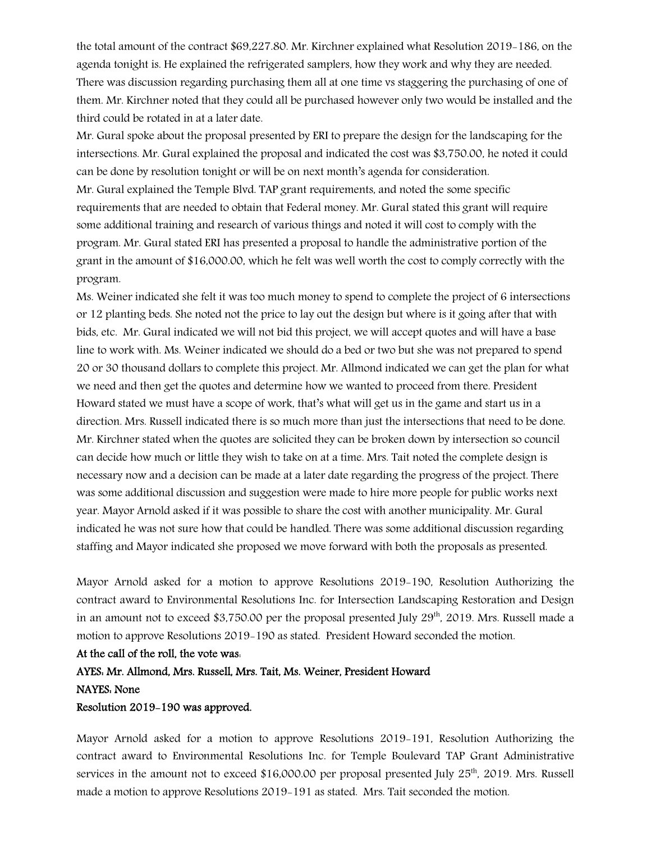the total amount of the contract \$69,227.80. Mr. Kirchner explained what Resolution 2019-186, on the agenda tonight is. He explained the refrigerated samplers, how they work and why they are needed. There was discussion regarding purchasing them all at one time vs staggering the purchasing of one of them. Mr. Kirchner noted that they could all be purchased however only two would be installed and the third could be rotated in at a later date.

Mr. Gural spoke about the proposal presented by ERI to prepare the design for the landscaping for the intersections. Mr. Gural explained the proposal and indicated the cost was \$3,750.00, he noted it could can be done by resolution tonight or will be on next month's agenda for consideration. Mr. Gural explained the Temple Blvd. TAP grant requirements, and noted the some specific requirements that are needed to obtain that Federal money. Mr. Gural stated this grant will require some additional training and research of various things and noted it will cost to comply with the program. Mr. Gural stated ERI has presented a proposal to handle the administrative portion of the grant in the amount of \$16,000.00, which he felt was well worth the cost to comply correctly with the program.

Ms. Weiner indicated she felt it was too much money to spend to complete the project of 6 intersections or 12 planting beds. She noted not the price to lay out the design but where is it going after that with bids, etc. Mr. Gural indicated we will not bid this project, we will accept quotes and will have a base line to work with. Ms. Weiner indicated we should do a bed or two but she was not prepared to spend 20 or 30 thousand dollars to complete this project. Mr. Allmond indicated we can get the plan for what we need and then get the quotes and determine how we wanted to proceed from there. President Howard stated we must have a scope of work, that's what will get us in the game and start us in a direction. Mrs. Russell indicated there is so much more than just the intersections that need to be done. Mr. Kirchner stated when the quotes are solicited they can be broken down by intersection so council can decide how much or little they wish to take on at a time. Mrs. Tait noted the complete design is necessary now and a decision can be made at a later date regarding the progress of the project. There was some additional discussion and suggestion were made to hire more people for public works next year. Mayor Arnold asked if it was possible to share the cost with another municipality. Mr. Gural indicated he was not sure how that could be handled. There was some additional discussion regarding staffing and Mayor indicated she proposed we move forward with both the proposals as presented.

Mayor Arnold asked for a motion to approve Resolutions 2019-190, Resolution Authorizing the contract award to Environmental Resolutions Inc. for Intersection Landscaping Restoration and Design in an amount not to exceed \$3,750.00 per the proposal presented July  $29<sup>th</sup>$ , 2019. Mrs. Russell made a motion to approve Resolutions 2019-190 as stated. President Howard seconded the motion.

#### At the call of the roll, the vote was:

# AYES: Mr. Allmond, Mrs. Russell, Mrs. Tait, Ms. Weiner, President Howard NAYES: None

Resolution 2019-190 was approved.

Mayor Arnold asked for a motion to approve Resolutions 2019-191, Resolution Authorizing the contract award to Environmental Resolutions Inc. for Temple Boulevard TAP Grant Administrative services in the amount not to exceed \$16,000.00 per proposal presented July  $25<sup>th</sup>$ , 2019. Mrs. Russell made a motion to approve Resolutions 2019-191 as stated. Mrs. Tait seconded the motion.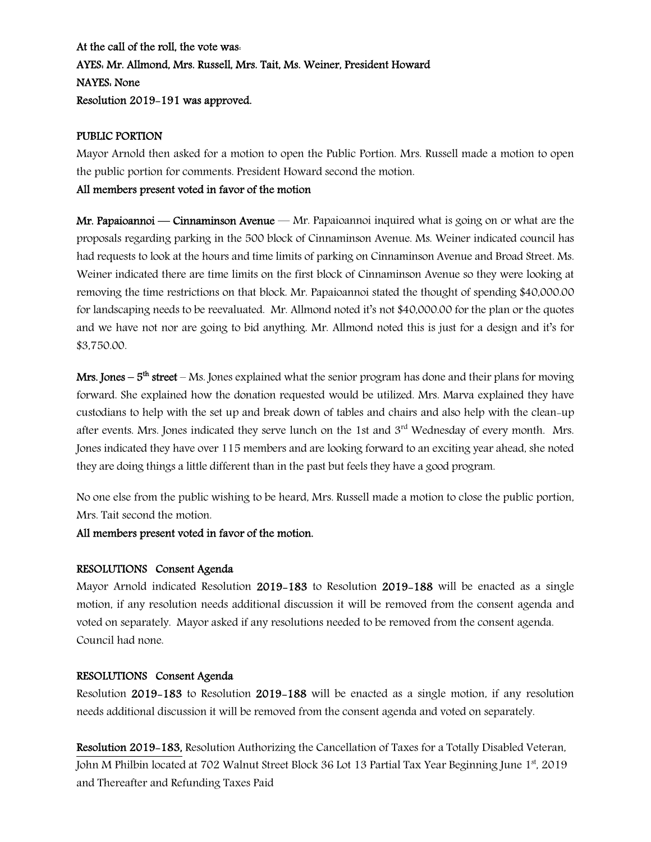At the call of the roll, the vote was: AYES: Mr. Allmond, Mrs. Russell, Mrs. Tait, Ms. Weiner, President Howard NAYES: None Resolution 2019-191 was approved.

### PUBLIC PORTION

Mayor Arnold then asked for a motion to open the Public Portion. Mrs. Russell made a motion to open the public portion for comments. President Howard second the motion.

## All members present voted in favor of the motion

Mr. Papaioannoi — Cinnaminson Avenue — Mr. Papaioannoi inquired what is going on or what are the proposals regarding parking in the 500 block of Cinnaminson Avenue. Ms. Weiner indicated council has had requests to look at the hours and time limits of parking on Cinnaminson Avenue and Broad Street. Ms. Weiner indicated there are time limits on the first block of Cinnaminson Avenue so they were looking at removing the time restrictions on that block. Mr. Papaioannoi stated the thought of spending \$40,000.00 for landscaping needs to be reevaluated. Mr. Allmond noted it's not \$40,000.00 for the plan or the quotes and we have not nor are going to bid anything. Mr. Allmond noted this is just for a design and it's for \$3,750.00.

Mrs. Jones  $-5<sup>th</sup>$  street – Ms. Jones explained what the senior program has done and their plans for moving forward. She explained how the donation requested would be utilized. Mrs. Marva explained they have custodians to help with the set up and break down of tables and chairs and also help with the clean-up after events. Mrs. Jones indicated they serve lunch on the 1st and 3<sup>rd</sup> Wednesday of every month. Mrs. Jones indicated they have over 115 members and are looking forward to an exciting year ahead, she noted they are doing things a little different than in the past but feels they have a good program.

No one else from the public wishing to be heard, Mrs. Russell made a motion to close the public portion, Mrs. Tait second the motion.

### All members present voted in favor of the motion.

### RESOLUTIONS Consent Agenda

Mayor Arnold indicated Resolution 2019-183 to Resolution 2019-188 will be enacted as a single motion, if any resolution needs additional discussion it will be removed from the consent agenda and voted on separately. Mayor asked if any resolutions needed to be removed from the consent agenda. Council had none.

### RESOLUTIONS Consent Agenda

Resolution 2019-183 to Resolution 2019-188 will be enacted as a single motion, if any resolution needs additional discussion it will be removed from the consent agenda and voted on separately.

Resolution 2019-183, Resolution Authorizing the Cancellation of Taxes for a Totally Disabled Veteran, John M Philbin located at 702 Walnut Street Block 36 Lot 13 Partial Tax Year Beginning June 1st, 2019 and Thereafter and Refunding Taxes Paid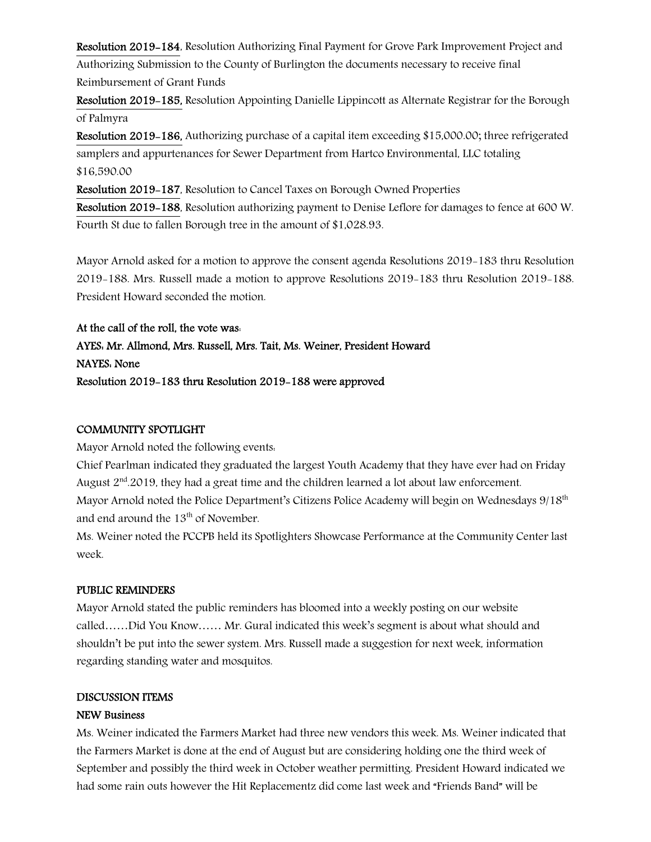Resolution 2019-184, Resolution Authorizing Final Payment for Grove Park Improvement Project and Authorizing Submission to the County of Burlington the documents necessary to receive final Reimbursement of Grant Funds

Resolution 2019-185, Resolution Appointing Danielle Lippincott as Alternate Registrar for the Borough of Palmyra

Resolution 2019-186, Authorizing purchase of a capital item exceeding \$15,000.00; three refrigerated samplers and appurtenances for Sewer Department from Hartco Environmental, LLC totaling \$16,590.00

Resolution 2019-187, Resolution to Cancel Taxes on Borough Owned Properties

Resolution 2019-188, Resolution authorizing payment to Denise Leflore for damages to fence at 600 W. Fourth St due to fallen Borough tree in the amount of \$1,028.93.

Mayor Arnold asked for a motion to approve the consent agenda Resolutions 2019-183 thru Resolution 2019-188. Mrs. Russell made a motion to approve Resolutions 2019-183 thru Resolution 2019-188. President Howard seconded the motion.

At the call of the roll, the vote was:

AYES: Mr. Allmond, Mrs. Russell, Mrs. Tait, Ms. Weiner, President Howard NAYES: None Resolution 2019-183 thru Resolution 2019-188 were approved

## COMMUNITY SPOTLIGHT

Mayor Arnold noted the following events:

Chief Pearlman indicated they graduated the largest Youth Academy that they have ever had on Friday August 2<sup>nd</sup>.2019, they had a great time and the children learned a lot about law enforcement. Mayor Arnold noted the Police Department's Citizens Police Academy will begin on Wednesdays 9/18<sup>th</sup> and end around the 13<sup>th</sup> of November.

Ms. Weiner noted the PCCPB held its Spotlighters Showcase Performance at the Community Center last week.

### PUBLIC REMINDERS

Mayor Arnold stated the public reminders has bloomed into a weekly posting on our website called……Did You Know…… Mr. Gural indicated this week's segment is about what should and shouldn't be put into the sewer system. Mrs. Russell made a suggestion for next week, information regarding standing water and mosquitos.

### DISCUSSION ITEMS

## NEW Business

Ms. Weiner indicated the Farmers Market had three new vendors this week. Ms. Weiner indicated that the Farmers Market is done at the end of August but are considering holding one the third week of September and possibly the third week in October weather permitting. President Howard indicated we had some rain outs however the Hit Replacementz did come last week and "Friends Band" will be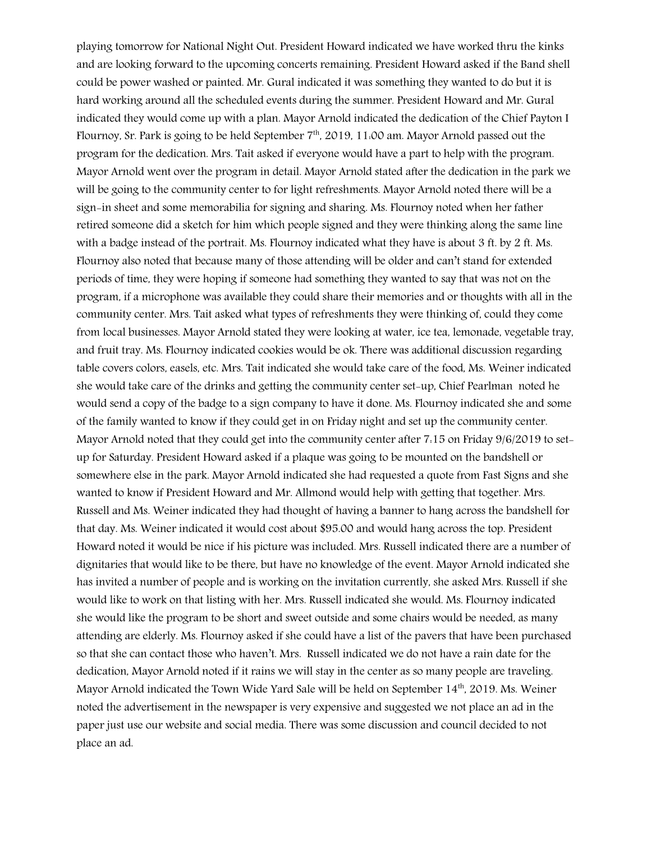playing tomorrow for National Night Out. President Howard indicated we have worked thru the kinks and are looking forward to the upcoming concerts remaining. President Howard asked if the Band shell could be power washed or painted. Mr. Gural indicated it was something they wanted to do but it is hard working around all the scheduled events during the summer. President Howard and Mr. Gural indicated they would come up with a plan. Mayor Arnold indicated the dedication of the Chief Payton I Flournoy, Sr. Park is going to be held September  $7<sup>th</sup>$ , 2019, 11:00 am. Mayor Arnold passed out the program for the dedication. Mrs. Tait asked if everyone would have a part to help with the program. Mayor Arnold went over the program in detail. Mayor Arnold stated after the dedication in the park we will be going to the community center to for light refreshments. Mayor Arnold noted there will be a sign-in sheet and some memorabilia for signing and sharing. Ms. Flournoy noted when her father retired someone did a sketch for him which people signed and they were thinking along the same line with a badge instead of the portrait. Ms. Flournoy indicated what they have is about 3 ft. by 2 ft. Ms. Flournoy also noted that because many of those attending will be older and can't stand for extended periods of time, they were hoping if someone had something they wanted to say that was not on the program, if a microphone was available they could share their memories and or thoughts with all in the community center. Mrs. Tait asked what types of refreshments they were thinking of, could they come from local businesses. Mayor Arnold stated they were looking at water, ice tea, lemonade, vegetable tray, and fruit tray. Ms. Flournoy indicated cookies would be ok. There was additional discussion regarding table covers colors, easels, etc. Mrs. Tait indicated she would take care of the food, Ms. Weiner indicated she would take care of the drinks and getting the community center set-up, Chief Pearlman noted he would send a copy of the badge to a sign company to have it done. Ms. Flournoy indicated she and some of the family wanted to know if they could get in on Friday night and set up the community center. Mayor Arnold noted that they could get into the community center after 7:15 on Friday 9/6/2019 to setup for Saturday. President Howard asked if a plaque was going to be mounted on the bandshell or somewhere else in the park. Mayor Arnold indicated she had requested a quote from Fast Signs and she wanted to know if President Howard and Mr. Allmond would help with getting that together. Mrs. Russell and Ms. Weiner indicated they had thought of having a banner to hang across the bandshell for that day. Ms. Weiner indicated it would cost about \$95.00 and would hang across the top. President Howard noted it would be nice if his picture was included. Mrs. Russell indicated there are a number of dignitaries that would like to be there, but have no knowledge of the event. Mayor Arnold indicated she has invited a number of people and is working on the invitation currently, she asked Mrs. Russell if she would like to work on that listing with her. Mrs. Russell indicated she would. Ms. Flournoy indicated she would like the program to be short and sweet outside and some chairs would be needed, as many attending are elderly. Ms. Flournoy asked if she could have a list of the pavers that have been purchased so that she can contact those who haven't. Mrs. Russell indicated we do not have a rain date for the dedication, Mayor Arnold noted if it rains we will stay in the center as so many people are traveling. Mayor Arnold indicated the Town Wide Yard Sale will be held on September  $14<sup>th</sup>$ , 2019. Ms. Weiner noted the advertisement in the newspaper is very expensive and suggested we not place an ad in the paper just use our website and social media. There was some discussion and council decided to not place an ad.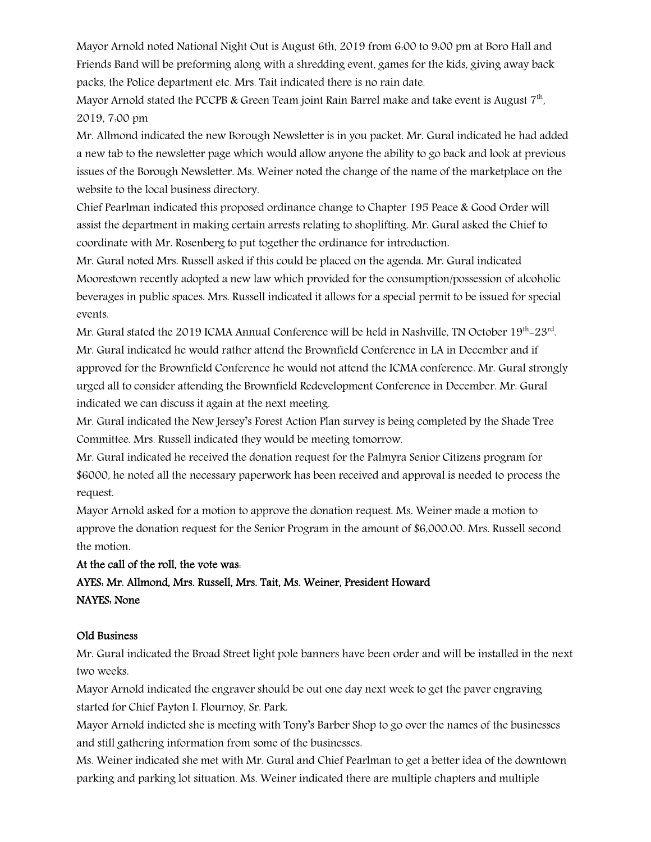Mayor Arnold noted National Night Out is August 6th, 2019 from 6:00 to 9:00 pm at Boro Hall and Friends Band will be preforming along with a shredding event, games for the kids, giving away back packs, the Police department etc. Mrs. Tait indicated there is no rain date.

Mayor Arnold stated the PCCPB & Green Team joint Rain Barrel make and take event is August  $7<sup>th</sup>$ , 2019, 7:00 pm

Mr. Allmond indicated the new Borough Newsletter is in you packet. Mr. Gural indicated he had added a new tab to the newsletter page which would allow anyone the ability to go back and look at previous issues of the Borough Newsletter. Ms. Weiner noted the change of the name of the marketplace on the website to the local business directory.

Chief Pearlman indicated this proposed ordinance change to Chapter 195 Peace & Good Order will assist the department in making certain arrests relating to shoplifting. Mr. Gural asked the Chief to coordinate with Mr. Rosenberg to put together the ordinance for introduction.

Mr. Gural noted Mrs. Russell asked if this could be placed on the agenda. Mr. Gural indicated Moorestown recently adopted a new law which provided for the consumption/possession of alcoholic beverages in public spaces. Mrs. Russell indicated it allows for a special permit to be issued for special events.

Mr. Gural stated the 2019 ICMA Annual Conference will be held in Nashville, TN October 19<sup>th</sup>-23<sup>rd</sup>. Mr. Gural indicated he would rather attend the Brownfield Conference in LA in December and if approved for the Brownfield Conference he would not attend the ICMA conference. Mr. Gural strongly urged all to consider attending the Brownfield Redevelopment Conference in December. Mr. Gural indicated we can discuss it again at the next meeting.

Mr. Gural indicated the New Jersey's Forest Action Plan survey is being completed by the Shade Tree Committee. Mrs. Russell indicated they would be meeting tomorrow.

Mr. Gural indicated he received the donation request for the Palmyra Senior Citizens program for \$6000, he noted all the necessary paperwork has been received and approval is needed to process the request.

Mayor Arnold asked for a motion to approve the donation request. Ms. Weiner made a motion to approve the donation request for the Senior Program in the amount of \$6,000.00. Mrs. Russell second the motion.

### At the call of the roll, the vote was:

AYES: Mr. Allmond, Mrs. Russell, Mrs. Tait, Ms. Weiner, President Howard NAYES: None

### Old Business

Mr. Gural indicated the Broad Street light pole banners have been order and will be installed in the next two weeks.

Mayor Arnold indicated the engraver should be out one day next week to get the paver engraving started for Chief Payton I. Flournoy, Sr. Park.

Mayor Arnold indicted she is meeting with Tony's Barber Shop to go over the names of the businesses and still gathering information from some of the businesses.

Ms. Weiner indicated she met with Mr. Gural and Chief Pearlman to get a better idea of the downtown parking and parking lot situation. Ms. Weiner indicated there are multiple chapters and multiple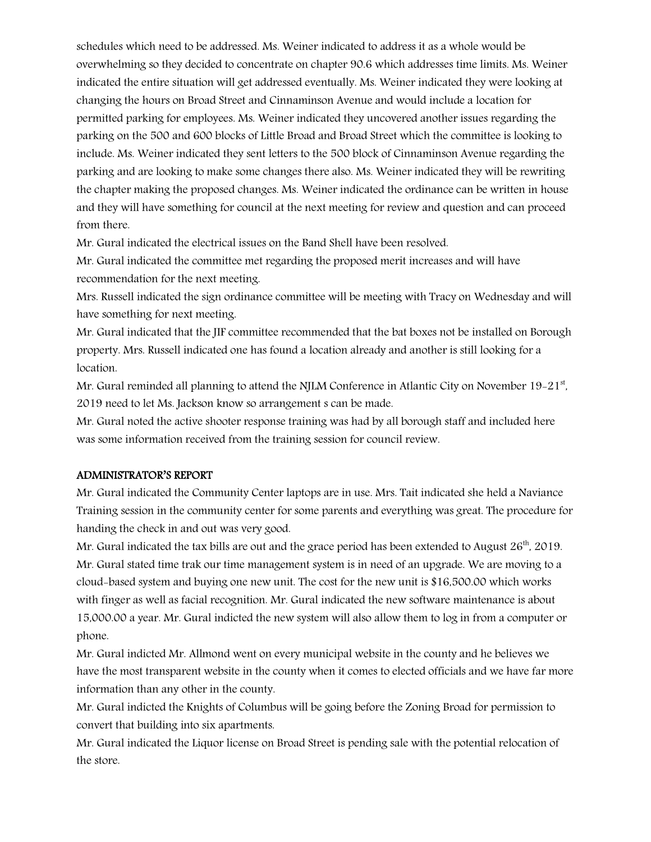schedules which need to be addressed. Ms. Weiner indicated to address it as a whole would be overwhelming so they decided to concentrate on chapter 90.6 which addresses time limits. Ms. Weiner indicated the entire situation will get addressed eventually. Ms. Weiner indicated they were looking at changing the hours on Broad Street and Cinnaminson Avenue and would include a location for permitted parking for employees. Ms. Weiner indicated they uncovered another issues regarding the parking on the 500 and 600 blocks of Little Broad and Broad Street which the committee is looking to include. Ms. Weiner indicated they sent letters to the 500 block of Cinnaminson Avenue regarding the parking and are looking to make some changes there also. Ms. Weiner indicated they will be rewriting the chapter making the proposed changes. Ms. Weiner indicated the ordinance can be written in house and they will have something for council at the next meeting for review and question and can proceed from there.

Mr. Gural indicated the electrical issues on the Band Shell have been resolved.

Mr. Gural indicated the committee met regarding the proposed merit increases and will have recommendation for the next meeting.

Mrs. Russell indicated the sign ordinance committee will be meeting with Tracy on Wednesday and will have something for next meeting.

Mr. Gural indicated that the JIF committee recommended that the bat boxes not be installed on Borough property. Mrs. Russell indicated one has found a location already and another is still looking for a location.

Mr. Gural reminded all planning to attend the NJLM Conference in Atlantic City on November  $19-21^{st}$ , 2019 need to let Ms. Jackson know so arrangement s can be made.

Mr. Gural noted the active shooter response training was had by all borough staff and included here was some information received from the training session for council review.

## ADMINISTRATOR'S REPORT

Mr. Gural indicated the Community Center laptops are in use. Mrs. Tait indicated she held a Naviance Training session in the community center for some parents and everything was great. The procedure for handing the check in and out was very good.

Mr. Gural indicated the tax bills are out and the grace period has been extended to August  $26<sup>th</sup>$ , 2019. Mr. Gural stated time trak our time management system is in need of an upgrade. We are moving to a cloud-based system and buying one new unit. The cost for the new unit is \$16,500.00 which works with finger as well as facial recognition. Mr. Gural indicated the new software maintenance is about 15,000.00 a year. Mr. Gural indicted the new system will also allow them to log in from a computer or phone.

Mr. Gural indicted Mr. Allmond went on every municipal website in the county and he believes we have the most transparent website in the county when it comes to elected officials and we have far more information than any other in the county.

Mr. Gural indicted the Knights of Columbus will be going before the Zoning Broad for permission to convert that building into six apartments.

Mr. Gural indicated the Liquor license on Broad Street is pending sale with the potential relocation of the store.